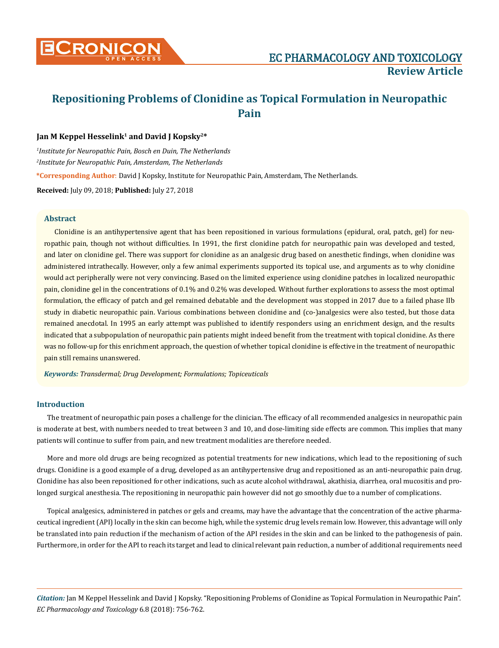

# **Repositioning Problems of Clonidine as Topical Formulation in Neuropathic Pain**

# Jan M Keppel Hesselink<sup>1</sup> and David J Kopsky<sup>2\*</sup>

*1 Institute for Neuropathic Pain, Bosch en Duin, The Netherlands 2 Institute for Neuropathic Pain, Amsterdam, The Netherlands*  **\*Corresponding Author**: David J Kopsky, Institute for Neuropathic Pain, Amsterdam, The Netherlands. **Received:** July 09, 2018; **Published:** July 27, 2018

## **Abstract**

Clonidine is an antihypertensive agent that has been repositioned in various formulations (epidural, oral, patch, gel) for neuropathic pain, though not without difficulties. In 1991, the first clonidine patch for neuropathic pain was developed and tested, and later on clonidine gel. There was support for clonidine as an analgesic drug based on anesthetic findings, when clonidine was administered intrathecally. However, only a few animal experiments supported its topical use, and arguments as to why clonidine would act peripherally were not very convincing. Based on the limited experience using clonidine patches in localized neuropathic pain, clonidine gel in the concentrations of 0.1% and 0.2% was developed. Without further explorations to assess the most optimal formulation, the efficacy of patch and gel remained debatable and the development was stopped in 2017 due to a failed phase IIb study in diabetic neuropathic pain. Various combinations between clonidine and (co-)analgesics were also tested, but those data remained anecdotal. In 1995 an early attempt was published to identify responders using an enrichment design, and the results indicated that a subpopulation of neuropathic pain patients might indeed benefit from the treatment with topical clonidine. As there was no follow-up for this enrichment approach, the question of whether topical clonidine is effective in the treatment of neuropathic pain still remains unanswered.

*Keywords: Transdermal; Drug Development; Formulations; Topiceuticals*

## **Introduction**

The treatment of neuropathic pain poses a challenge for the clinician. The efficacy of all recommended analgesics in neuropathic pain is moderate at best, with numbers needed to treat between 3 and 10, and dose-limiting side effects are common. This implies that many patients will continue to suffer from pain, and new treatment modalities are therefore needed.

More and more old drugs are being recognized as potential treatments for new indications, which lead to the repositioning of such drugs. Clonidine is a good example of a drug, developed as an antihypertensive drug and repositioned as an anti-neuropathic pain drug. Clonidine has also been repositioned for other indications, such as acute alcohol withdrawal, akathisia, diarrhea, oral mucositis and prolonged surgical anesthesia. The repositioning in neuropathic pain however did not go smoothly due to a number of complications.

Topical analgesics, administered in patches or gels and creams, may have the advantage that the concentration of the active pharmaceutical ingredient (API) locally in the skin can become high, while the systemic drug levels remain low. However, this advantage will only be translated into pain reduction if the mechanism of action of the API resides in the skin and can be linked to the pathogenesis of pain. Furthermore, in order for the API to reach its target and lead to clinical relevant pain reduction, a number of additional requirements need

*Citation:* Jan M Keppel Hesselink and David J Kopsky. "Repositioning Problems of Clonidine as Topical Formulation in Neuropathic Pain". *EC Pharmacology and Toxicology* 6.8 (2018): 756-762.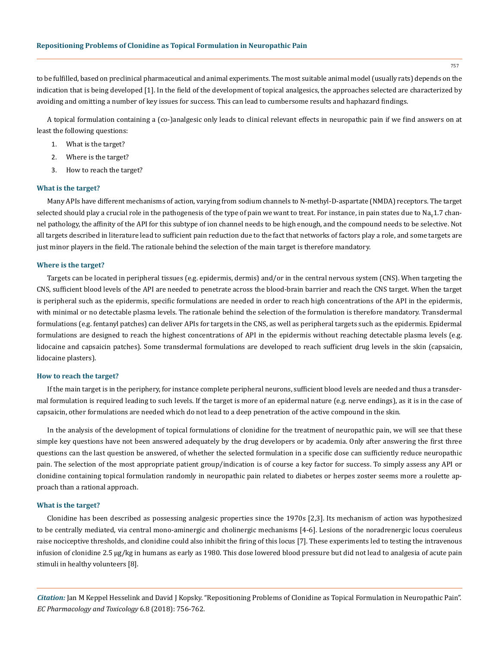to be fulfilled, based on preclinical pharmaceutical and animal experiments. The most suitable animal model (usually rats) depends on the indication that is being developed [1]. In the field of the development of topical analgesics, the approaches selected are characterized by avoiding and omitting a number of key issues for success. This can lead to cumbersome results and haphazard findings.

A topical formulation containing a (co-)analgesic only leads to clinical relevant effects in neuropathic pain if we find answers on at least the following questions:

- 1. What is the target?
- 2. Where is the target?
- 3. How to reach the target?

#### **What is the target?**

Many APIs have different mechanisms of action, varying from sodium channels to N-methyl-D-aspartate (NMDA) receptors. The target selected should play a crucial role in the pathogenesis of the type of pain we want to treat. For instance, in pain states due to  $Na<sub>u</sub>1.7$  channel pathology, the affinity of the API for this subtype of ion channel needs to be high enough, and the compound needs to be selective. Not all targets described in literature lead to sufficient pain reduction due to the fact that networks of factors play a role, and some targets are just minor players in the field. The rationale behind the selection of the main target is therefore mandatory.

#### **Where is the target?**

Targets can be located in peripheral tissues (e.g. epidermis, dermis) and/or in the central nervous system (CNS). When targeting the CNS, sufficient blood levels of the API are needed to penetrate across the blood-brain barrier and reach the CNS target. When the target is peripheral such as the epidermis, specific formulations are needed in order to reach high concentrations of the API in the epidermis, with minimal or no detectable plasma levels. The rationale behind the selection of the formulation is therefore mandatory. Transdermal formulations (e.g. fentanyl patches) can deliver APIs for targets in the CNS, as well as peripheral targets such as the epidermis. Epidermal formulations are designed to reach the highest concentrations of API in the epidermis without reaching detectable plasma levels (e.g. lidocaine and capsaicin patches). Some transdermal formulations are developed to reach sufficient drug levels in the skin (capsaicin, lidocaine plasters).

#### **How to reach the target?**

If the main target is in the periphery, for instance complete peripheral neurons, sufficient blood levels are needed and thus a transdermal formulation is required leading to such levels. If the target is more of an epidermal nature (e.g. nerve endings), as it is in the case of capsaicin, other formulations are needed which do not lead to a deep penetration of the active compound in the skin.

In the analysis of the development of topical formulations of clonidine for the treatment of neuropathic pain, we will see that these simple key questions have not been answered adequately by the drug developers or by academia. Only after answering the first three questions can the last question be answered, of whether the selected formulation in a specific dose can sufficiently reduce neuropathic pain. The selection of the most appropriate patient group/indication is of course a key factor for success. To simply assess any API or clonidine containing topical formulation randomly in neuropathic pain related to diabetes or herpes zoster seems more a roulette approach than a rational approach.

### **What is the target?**

Clonidine has been described as possessing analgesic properties since the 1970s [2,3]. Its mechanism of action was hypothesized to be centrally mediated, via central mono-aminergic and cholinergic mechanisms [4-6]. Lesions of the noradrenergic locus coeruleus raise nociceptive thresholds, and clonidine could also inhibit the firing of this locus [7]. These experiments led to testing the intravenous infusion of clonidine 2.5 μg/kg in humans as early as 1980. This dose lowered blood pressure but did not lead to analgesia of acute pain stimuli in healthy volunteers [8].

*Citation:* Jan M Keppel Hesselink and David J Kopsky. "Repositioning Problems of Clonidine as Topical Formulation in Neuropathic Pain". *EC Pharmacology and Toxicology* 6.8 (2018): 756-762.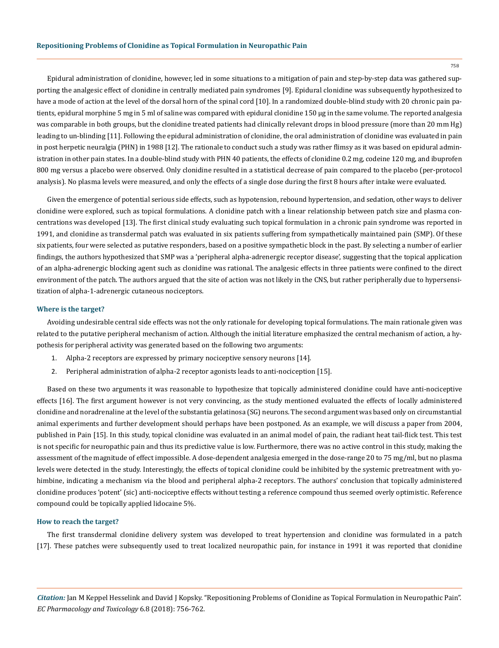Epidural administration of clonidine, however, led in some situations to a mitigation of pain and step-by-step data was gathered supporting the analgesic effect of clonidine in centrally mediated pain syndromes [9]. Epidural clonidine was subsequently hypothesized to have a mode of action at the level of the dorsal horn of the spinal cord [10]. In a randomized double-blind study with 20 chronic pain patients, epidural morphine 5 mg in 5 ml of saline was compared with epidural clonidine 150 μg in the same volume. The reported analgesia was comparable in both groups, but the clonidine treated patients had clinically relevant drops in blood pressure (more than 20 mm Hg) leading to un-blinding [11]. Following the epidural administration of clonidine, the oral administration of clonidine was evaluated in pain in post herpetic neuralgia (PHN) in 1988 [12]. The rationale to conduct such a study was rather flimsy as it was based on epidural administration in other pain states. In a double-blind study with PHN 40 patients, the effects of clonidine 0.2 mg, codeine 120 mg, and ibuprofen 800 mg versus a placebo were observed. Only clonidine resulted in a statistical decrease of pain compared to the placebo (per-protocol analysis). No plasma levels were measured, and only the effects of a single dose during the first 8 hours after intake were evaluated.

Given the emergence of potential serious side effects, such as hypotension, rebound hypertension, and sedation, other ways to deliver clonidine were explored, such as topical formulations. A clonidine patch with a linear relationship between patch size and plasma concentrations was developed [13]. The first clinical study evaluating such topical formulation in a chronic pain syndrome was reported in 1991, and clonidine as transdermal patch was evaluated in six patients suffering from sympathetically maintained pain (SMP). Of these six patients, four were selected as putative responders, based on a positive sympathetic block in the past. By selecting a number of earlier findings, the authors hypothesized that SMP was a 'peripheral alpha-adrenergic receptor disease', suggesting that the topical application of an alpha-adrenergic blocking agent such as clonidine was rational. The analgesic effects in three patients were confined to the direct environment of the patch. The authors argued that the site of action was not likely in the CNS, but rather peripherally due to hypersensitization of alpha-1-adrenergic cutaneous nociceptors.

# **Where is the target?**

Avoiding undesirable central side effects was not the only rationale for developing topical formulations. The main rationale given was related to the putative peripheral mechanism of action. Although the initial literature emphasized the central mechanism of action, a hypothesis for peripheral activity was generated based on the following two arguments:

- 1. Alpha-2 receptors are expressed by primary nociceptive sensory neurons [14].
- 2. Peripheral administration of alpha-2 receptor agonists leads to anti-nociception [15].

Based on these two arguments it was reasonable to hypothesize that topically administered clonidine could have anti-nociceptive effects [16]. The first argument however is not very convincing, as the study mentioned evaluated the effects of locally administered clonidine and noradrenaline at the level of the substantia gelatinosa (SG) neurons. The second argument was based only on circumstantial animal experiments and further development should perhaps have been postponed. As an example, we will discuss a paper from 2004, published in Pain [15]. In this study, topical clonidine was evaluated in an animal model of pain, the radiant heat tail-flick test. This test is not specific for neuropathic pain and thus its predictive value is low. Furthermore, there was no active control in this study, making the assessment of the magnitude of effect impossible. A dose-dependent analgesia emerged in the dose-range 20 to 75 mg/ml, but no plasma levels were detected in the study. Interestingly, the effects of topical clonidine could be inhibited by the systemic pretreatment with yohimbine, indicating a mechanism via the blood and peripheral alpha-2 receptors. The authors' conclusion that topically administered clonidine produces 'potent' (sic) anti-nociceptive effects without testing a reference compound thus seemed overly optimistic. Reference compound could be topically applied lidocaine 5%.

#### **How to reach the target?**

The first transdermal clonidine delivery system was developed to treat hypertension and clonidine was formulated in a patch [17]. These patches were subsequently used to treat localized neuropathic pain, for instance in 1991 it was reported that clonidine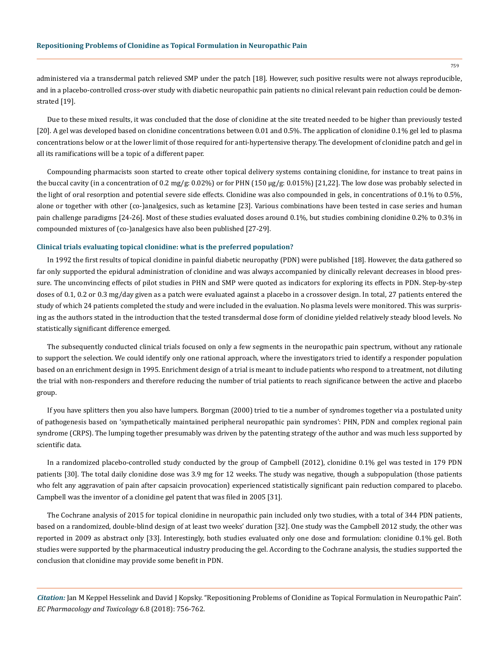administered via a transdermal patch relieved SMP under the patch [18]. However, such positive results were not always reproducible, and in a placebo-controlled cross-over study with diabetic neuropathic pain patients no clinical relevant pain reduction could be demonstrated [19].

Due to these mixed results, it was concluded that the dose of clonidine at the site treated needed to be higher than previously tested [20]. A gel was developed based on clonidine concentrations between 0.01 and 0.5%. The application of clonidine 0.1% gel led to plasma concentrations below or at the lower limit of those required for anti-hypertensive therapy. The development of clonidine patch and gel in all its ramifications will be a topic of a different paper.

Compounding pharmacists soon started to create other topical delivery systems containing clonidine, for instance to treat pains in the buccal cavity (in a concentration of 0.2 mg/g: 0.02%) or for PHN (150 μg/g: 0.015%) [21,22]. The low dose was probably selected in the light of oral resorption and potential severe side effects. Clonidine was also compounded in gels, in concentrations of 0.1% to 0.5%, alone or together with other (co-)analgesics, such as ketamine [23]. Various combinations have been tested in case series and human pain challenge paradigms [24-26]. Most of these studies evaluated doses around 0.1%, but studies combining clonidine 0.2% to 0.3% in compounded mixtures of (co-)analgesics have also been published [27-29].

## **Clinical trials evaluating topical clonidine: what is the preferred population?**

In 1992 the first results of topical clonidine in painful diabetic neuropathy (PDN) were published [18]. However, the data gathered so far only supported the epidural administration of clonidine and was always accompanied by clinically relevant decreases in blood pressure. The unconvincing effects of pilot studies in PHN and SMP were quoted as indicators for exploring its effects in PDN. Step-by-step doses of 0.1, 0.2 or 0.3 mg/day given as a patch were evaluated against a placebo in a crossover design. In total, 27 patients entered the study of which 24 patients completed the study and were included in the evaluation. No plasma levels were monitored. This was surprising as the authors stated in the introduction that the tested transdermal dose form of clonidine yielded relatively steady blood levels. No statistically significant difference emerged.

The subsequently conducted clinical trials focused on only a few segments in the neuropathic pain spectrum, without any rationale to support the selection. We could identify only one rational approach, where the investigators tried to identify a responder population based on an enrichment design in 1995. Enrichment design of a trial is meant to include patients who respond to a treatment, not diluting the trial with non-responders and therefore reducing the number of trial patients to reach significance between the active and placebo group.

If you have splitters then you also have lumpers. Borgman (2000) tried to tie a number of syndromes together via a postulated unity of pathogenesis based on 'sympathetically maintained peripheral neuropathic pain syndromes': PHN, PDN and complex regional pain syndrome (CRPS). The lumping together presumably was driven by the patenting strategy of the author and was much less supported by scientific data.

In a randomized placebo-controlled study conducted by the group of Campbell (2012), clonidine 0.1% gel was tested in 179 PDN patients [30]. The total daily clonidine dose was 3.9 mg for 12 weeks. The study was negative, though a subpopulation (those patients who felt any aggravation of pain after capsaicin provocation) experienced statistically significant pain reduction compared to placebo. Campbell was the inventor of a clonidine gel patent that was filed in 2005 [31].

The Cochrane analysis of 2015 for topical clonidine in neuropathic pain included only two studies, with a total of 344 PDN patients, based on a randomized, double-blind design of at least two weeks' duration [32]. One study was the Campbell 2012 study, the other was reported in 2009 as abstract only [33]. Interestingly, both studies evaluated only one dose and formulation: clonidine 0.1% gel. Both studies were supported by the pharmaceutical industry producing the gel. According to the Cochrane analysis, the studies supported the conclusion that clonidine may provide some benefit in PDN.

*Citation:* Jan M Keppel Hesselink and David J Kopsky. "Repositioning Problems of Clonidine as Topical Formulation in Neuropathic Pain". *EC Pharmacology and Toxicology* 6.8 (2018): 756-762.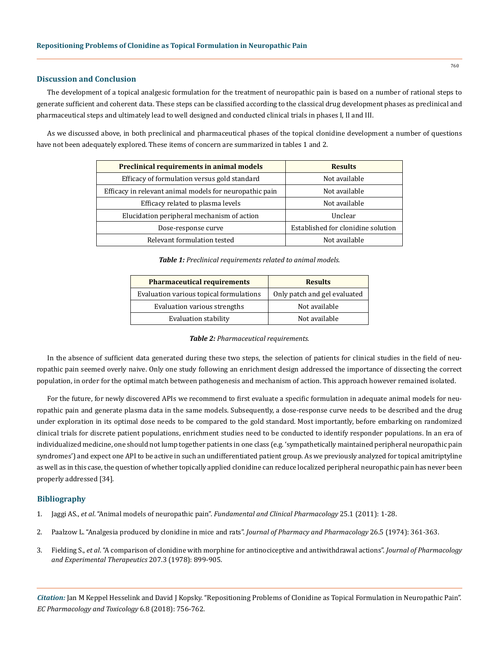# **Discussion and Conclusion**

The development of a topical analgesic formulation for the treatment of neuropathic pain is based on a number of rational steps to generate sufficient and coherent data. These steps can be classified according to the classical drug development phases as preclinical and pharmaceutical steps and ultimately lead to well designed and conducted clinical trials in phases I, II and III.

As we discussed above, in both preclinical and pharmaceutical phases of the topical clonidine development a number of questions have not been adequately explored. These items of concern are summarized in tables 1 and 2.

| <b>Preclinical requirements in animal models</b>        | <b>Results</b>                     |
|---------------------------------------------------------|------------------------------------|
| Efficacy of formulation versus gold standard            | Not available                      |
| Efficacy in relevant animal models for neuropathic pain | Not available                      |
| Efficacy related to plasma levels                       | Not available                      |
| Elucidation peripheral mechanism of action              | Unclear                            |
| Dose-response curve                                     | Established for clonidine solution |
| Relevant formulation tested                             | Not available                      |

*Table 1: Preclinical requirements related to animal models.*

| <b>Pharmaceutical requirements</b>      | <b>Results</b>               |
|-----------------------------------------|------------------------------|
| Evaluation various topical formulations | Only patch and gel evaluated |
| Evaluation various strengths            | Not available                |
| Evaluation stability                    | Not available                |

#### *Table 2: Pharmaceutical requirements.*

In the absence of sufficient data generated during these two steps, the selection of patients for clinical studies in the field of neuropathic pain seemed overly naive. Only one study following an enrichment design addressed the importance of dissecting the correct population, in order for the optimal match between pathogenesis and mechanism of action. This approach however remained isolated.

For the future, for newly discovered APIs we recommend to first evaluate a specific formulation in adequate animal models for neuropathic pain and generate plasma data in the same models. Subsequently, a dose-response curve needs to be described and the drug under exploration in its optimal dose needs to be compared to the gold standard. Most importantly, before embarking on randomized clinical trials for discrete patient populations, enrichment studies need to be conducted to identify responder populations. In an era of individualized medicine, one should not lump together patients in one class (e.g. 'sympathetically maintained peripheral neuropathic pain syndromes') and expect one API to be active in such an undifferentiated patient group. As we previously analyzed for topical amitriptyline as well as in this case, the question of whether topically applied clonidine can reduce localized peripheral neuropathic pain has never been properly addressed [34].

# **Bibliography**

- 1. Jaggi AS., *et al*. "Animal models of neuropathic pain". *[Fundamental and Clinical Pharmacology](https://www.ncbi.nlm.nih.gov/pubmed/20030738)* 25.1 (2011): 1-28.
- 2. [Paalzow L. "Analgesia produced by clonidine in mice and rats".](https://www.ncbi.nlm.nih.gov/pubmed/4152777) *Journal of Pharmacy and Pharmacology* 26.5 (1974): 361-363.
- 3. Fielding S., *et al*[. "A comparison of clonidine with morphine for antinociceptive and antiwithdrawal actions".](https://www.ncbi.nlm.nih.gov/pubmed/569695) *Journal of Pharmacology [and Experimental Therapeutics](https://www.ncbi.nlm.nih.gov/pubmed/569695)* 207.3 (1978): 899-905.

*Citation:* Jan M Keppel Hesselink and David J Kopsky. "Repositioning Problems of Clonidine as Topical Formulation in Neuropathic Pain". *EC Pharmacology and Toxicology* 6.8 (2018): 756-762.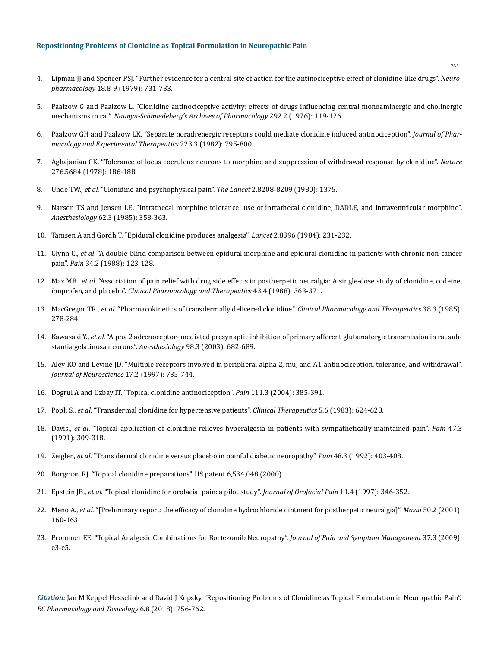- 4. [Lipman JJ and Spencer PSJ. "Further evidence for a central site of action for the antinociceptive effect of clonidine-like drugs".](https://www.sciencedirect.com/science/article/pii/0028390879900455) *Neuropharmacology* [18.8-9 \(1979\): 731-733.](https://www.sciencedirect.com/science/article/pii/0028390879900455)
- 5. [Paalzow G and Paalzow L. "Clonidine antinociceptive activity: effects of drugs influencing central monoaminergic and cholinergic](https://www.ncbi.nlm.nih.gov/pubmed/133292) mechanisms in rat". *[Naunyn-Schmiedeberg's Archives of Pharmacology](https://www.ncbi.nlm.nih.gov/pubmed/133292)* 292.2 (1976): 119-126.
- 6. [Paalzow GH and Paalzow LK. "Separate noradrenergic receptors could mediate clonidine induced antinociception".](https://www.ncbi.nlm.nih.gov/pubmed/6292401) *Journal of Phar[macology and Experimental Therapeutics](https://www.ncbi.nlm.nih.gov/pubmed/6292401)* 223.3 (1982): 795-800.
- 7. [Aghajanian GK. "Tolerance of locus coeruleus neurons to morphine and suppression of withdrawal response by clonidine".](https://www.ncbi.nlm.nih.gov/pubmed/216919) *Nature*  [276.5684 \(1978\): 186-188.](https://www.ncbi.nlm.nih.gov/pubmed/216919)
- 8. Uhde TW., *et al*[. "Clonidine and psychophysical pain".](https://www.ncbi.nlm.nih.gov/pubmed/6109195) *The Lancet* 2.8208-8209 (1980): 1375.
- 9. [Narson TS and Jensen LE. "Intrathecal morphine tolerance: use of intrathecal clonidine, DADLE, and intraventricular morphine".](https://www.ncbi.nlm.nih.gov/pubmed/3883851)  *Anesthesiology* [62.3 \(1985\): 358-363.](https://www.ncbi.nlm.nih.gov/pubmed/3883851)
- 10. [Tamsen A and Gordh T. "Epidural clonidine produces analgesia".](https://www.ncbi.nlm.nih.gov/pubmed/6146793) *Lancet* 2.8396 (1984): 231-232.
- 11. Glynn C., *et al*[. "A double-blind comparison between epidural morphine and epidural clonidine in patients with chronic non-cancer](https://www.ncbi.nlm.nih.gov/pubmed/3174151)  pain". *Pain* [34.2 \(1988\): 123-128.](https://www.ncbi.nlm.nih.gov/pubmed/3174151)
- 12. Max MB., *et al*[. "Association of pain relief with drug side effects in postherpetic neuralgia: A single-dose study of clonidine, codeine,](https://www.ncbi.nlm.nih.gov/pubmed/3281774)  ibuprofen, and placebo". *[Clinical Pharmacology and Therapeutics](https://www.ncbi.nlm.nih.gov/pubmed/3281774)* 43.4 (1988): 363-371.
- 13. MacGregor TR., *et al*[. "Pharmacokinetics of transdermally delivered clonidine".](https://www.ncbi.nlm.nih.gov/pubmed/4028622) *Clinical Pharmacology and Therapeutics* 38.3 (1985): [278-284.](https://www.ncbi.nlm.nih.gov/pubmed/4028622)
- 14. Kawasaki Y., *et al*[. "Alpha 2 adrenoceptor- mediated presynaptic inhibition of primary afferent glutamatergic transmission in rat sub](https://www.ncbi.nlm.nih.gov/pubmed/12606912)[stantia gelatinosa neurons".](https://www.ncbi.nlm.nih.gov/pubmed/12606912) *Anesthesiology* 98.3 (2003): 682-689.
- 15. [Aley KO and Levine JD. "Multiple receptors involved in peripheral alpha 2, mu, and A1 antinociception, tolerance, and withdrawal".](https://www.ncbi.nlm.nih.gov/pubmed/8987795)  *[Journal of Neuroscience](https://www.ncbi.nlm.nih.gov/pubmed/8987795)* 17.2 (1997): 735-744.
- 16. [Dogrul A and Uzbay IT. "Topical clonidine antinociception".](https://www.ncbi.nlm.nih.gov/pubmed/15363883) *Pain* 111.3 (2004): 385-391.
- 17. Popli S., *et al*[. "Transdermal clonidine for hypertensive patients".](https://www.ncbi.nlm.nih.gov/pubmed/6627288) *Clinical Therapeutics* 5.6 (1983): 624-628.
- 18. Davis., *et al*[. "Topical application of clonidine relieves hyperalgesia in patients with sympathetically maintained pain".](https://www.ncbi.nlm.nih.gov/pubmed/1664508) *Pain* 47.3 [\(1991\): 309-318.](https://www.ncbi.nlm.nih.gov/pubmed/1664508)
- 19. Zeigler., *et al*[. "Trans dermal clonidine versus placebo in painful diabetic neuropathy".](https://www.ncbi.nlm.nih.gov/pubmed/1594263) *Pain* 48.3 (1992): 403-408.
- 20. [Borgman RJ. "Topical clonidine preparations". US patent 6,534,048 \(2000\).](https://patents.google.com/patent/US6534048/pt-PT)
- 21. Epstein JB., *et al*[. "Topical clonidine for orofacial pain: a pilot study".](https://www.ncbi.nlm.nih.gov/pubmed/9656911) *Journal of Orofacial Pain* 11.4 (1997): 346-352.
- 22. Meno A., *et al*[. "\[Preliminary report: the efficacy of clonidine hydrochloride ointment for postherpetic neuralgia\]".](https://www.ncbi.nlm.nih.gov/pubmed/11244770) *Masui* 50.2 (2001): [160-163.](https://www.ncbi.nlm.nih.gov/pubmed/11244770)
- 23. [Prommer EE. "Topical Analgesic Combinations for Bortezomib Neuropathy".](https://www.ncbi.nlm.nih.gov/pubmed/19171460) *Journal of Pain and Symptom Management* 37.3 (2009): [e3-e5.](https://www.ncbi.nlm.nih.gov/pubmed/19171460)

*Citation:* Jan M Keppel Hesselink and David J Kopsky. "Repositioning Problems of Clonidine as Topical Formulation in Neuropathic Pain". *EC Pharmacology and Toxicology* 6.8 (2018): 756-762.